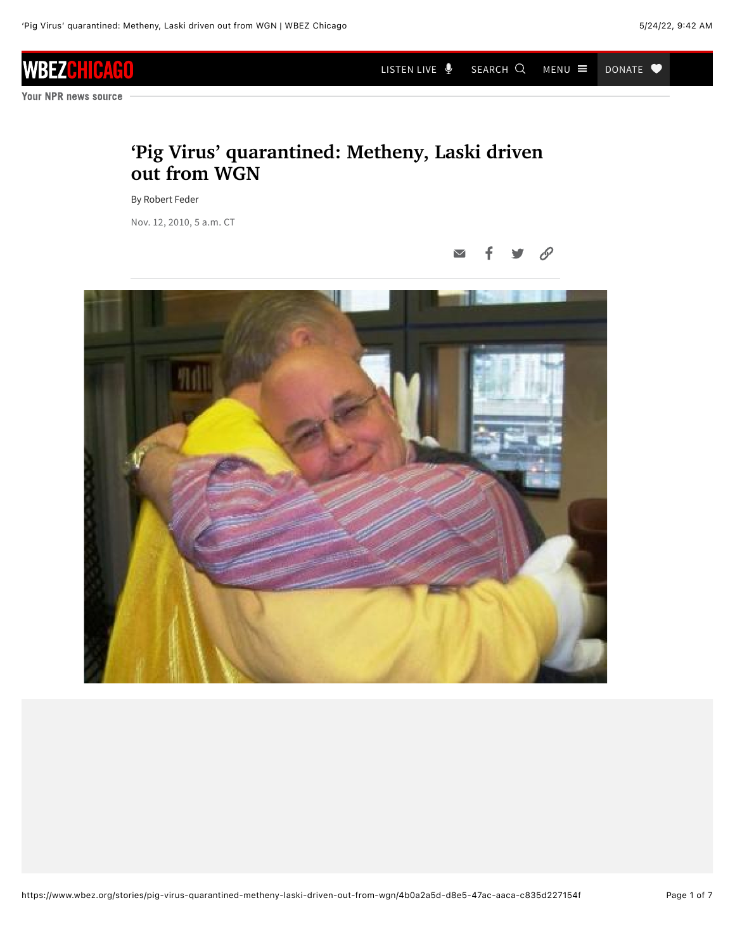[LISTEN LIVE](https://www.wbez.org/stories/pig-virus-quarantined-metheny-laski-driven-out-from-wgn/4b0a2a5d-d8e5-47ac-aaca-c835d227154f#player)  $\oint$  search Q menu  $\equiv$  donate  $\blacktriangledown$ 

Your NPR news source

н 4HI

**WBEZ** 

## **'Pig Virus' quarantined: Metheny, Laski driven out from WGN**

By Robert Feder

Nov. 12, 2010, 5 a.m. CT

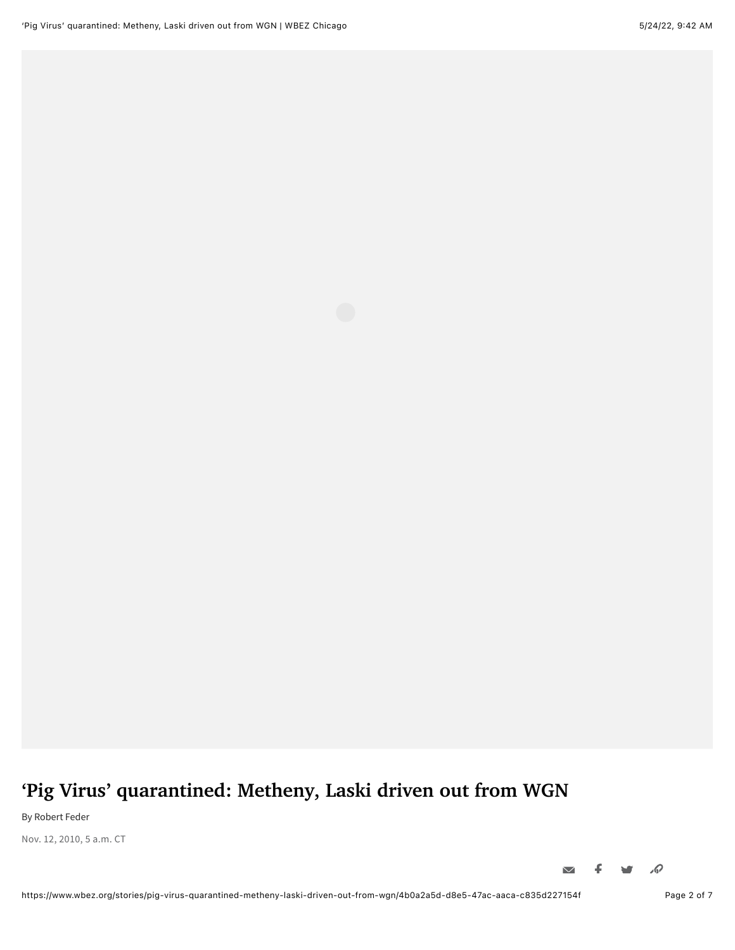## **'Pig Virus' quarantined: Metheny, Laski driven out from WGN**

By Robert Feder

Nov. 12, 2010, 5 a.m. CT

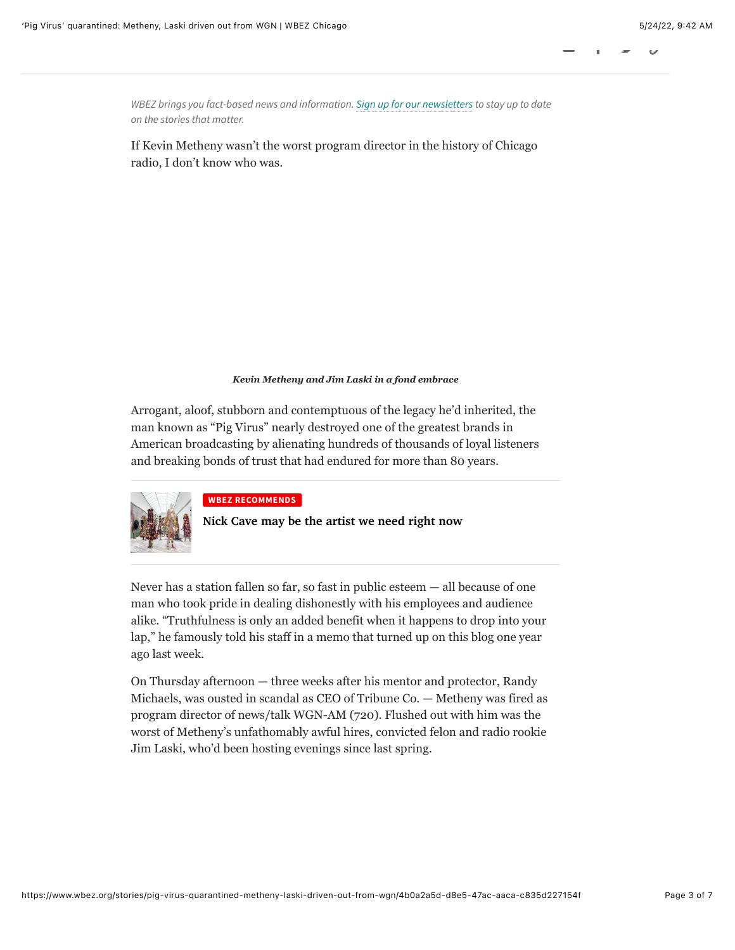*WBEZ brings you fact-based news and information. [Sign up for our newsletters](https://www.wbez.org/newsletters) to stay up to date on the stories that matter.*

If Kevin Metheny wasn't the worst program director in the history of Chicago radio, I don't know who was.

## *Kevin Metheny and Jim Laski in a fond embrace*

Arrogant, aloof, stubborn and contemptuous of the legacy he'd inherited, the man known as "Pig Virus" nearly destroyed one of the greatest brands in American broadcasting by alienating hundreds of thousands of loyal listeners and breaking bonds of trust that had endured for more than 80 years.



## **WBEZ RECOMMENDS**

**[Nick Cave may be the artist we need right now](https://www.wbez.org/stories/artist-nick-cave-and-his-soundsuits-take-over-chicago-mca-dusable/ca18cf2c-3371-49d0-8068-5c2fc3b37a53)**

Never has a station fallen so far, so fast in public esteem — all because of one man who took pride in dealing dishonestly with his employees and audience alike. "Truthfulness is only an added benefit when it happens to drop into your lap," he famously told his staff in a memo that turned up on this blog one year ago last week.

On Thursday afternoon — three weeks after his mentor and protector, Randy Michaels, was ousted in scandal as CEO of Tribune Co. — Metheny was fired as program director of news/talk WGN-AM (720). Flushed out with him was the worst of Metheny's unfathomably awful hires, convicted felon and radio rookie Jim Laski, who'd been hosting evenings since last spring.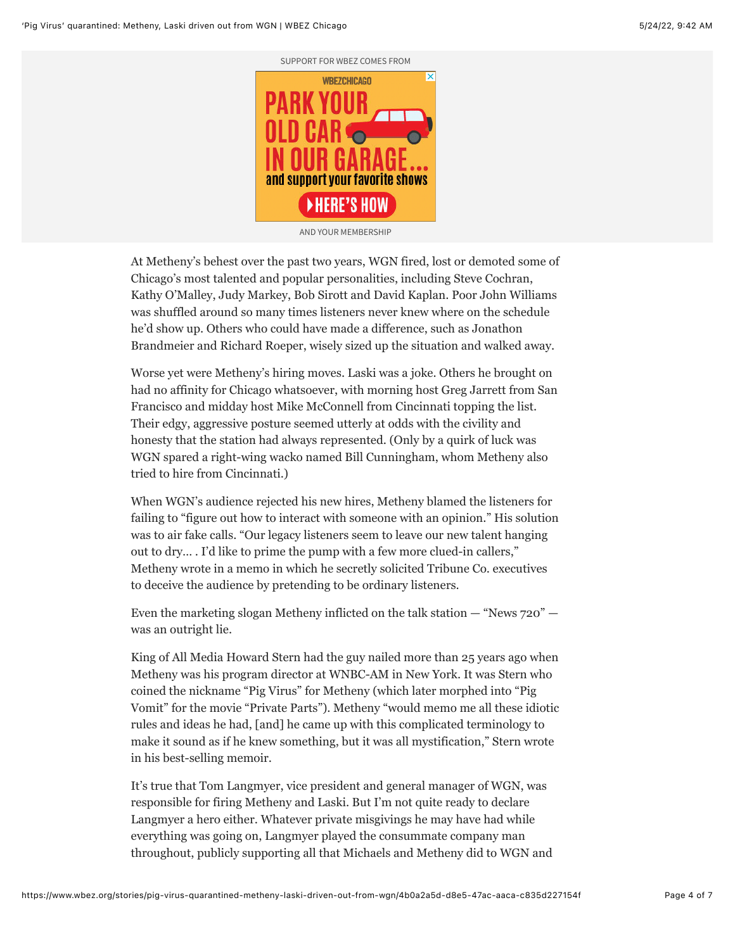

AND YOUR MEMBERSHIP

At Metheny's behest over the past two years, WGN fired, lost or demoted some of Chicago's most talented and popular personalities, including Steve Cochran, Kathy O'Malley, Judy Markey, Bob Sirott and David Kaplan. Poor John Williams was shuffled around so many times listeners never knew where on the schedule he'd show up. Others who could have made a difference, such as Jonathon Brandmeier and Richard Roeper, wisely sized up the situation and walked away.

Worse yet were Metheny's hiring moves. Laski was a joke. Others he brought on had no affinity for Chicago whatsoever, with morning host Greg Jarrett from San Francisco and midday host Mike McConnell from Cincinnati topping the list. Their edgy, aggressive posture seemed utterly at odds with the civility and honesty that the station had always represented. (Only by a quirk of luck was WGN spared a right-wing wacko named Bill Cunningham, whom Metheny also tried to hire from Cincinnati.)

When WGN's audience rejected his new hires, Metheny blamed the listeners for failing to "figure out how to interact with someone with an opinion." His solution was to air fake calls. "Our legacy listeners seem to leave our new talent hanging out to dry… . I'd like to prime the pump with a few more clued-in callers," Metheny wrote in a memo in which he secretly solicited Tribune Co. executives to deceive the audience by pretending to be ordinary listeners.

Even the marketing slogan Metheny inflicted on the talk station — "News 720" was an outright lie.

King of All Media Howard Stern had the guy nailed more than 25 years ago when Metheny was his program director at WNBC-AM in New York. It was Stern who coined the nickname "Pig Virus" for Metheny (which later morphed into "Pig Vomit" for the movie "Private Parts"). Metheny "would memo me all these idiotic rules and ideas he had, [and] he came up with this complicated terminology to make it sound as if he knew something, but it was all mystification," Stern wrote in his best-selling memoir.

It's true that Tom Langmyer, vice president and general manager of WGN, was responsible for firing Metheny and Laski. But I'm not quite ready to declare Langmyer a hero either. Whatever private misgivings he may have had while everything was going on, Langmyer played the consummate company man throughout, publicly supporting all that Michaels and Metheny did to WGN and